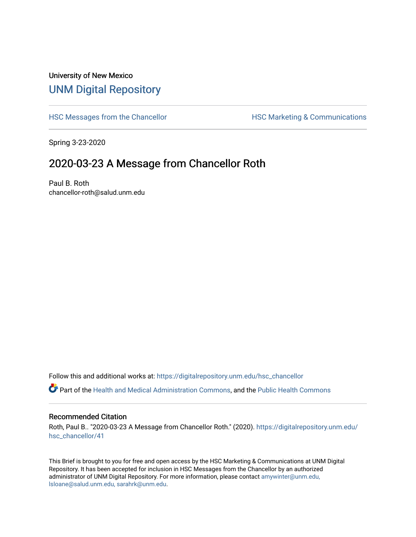## University of New Mexico [UNM Digital Repository](https://digitalrepository.unm.edu/)

[HSC Messages from the Chancellor](https://digitalrepository.unm.edu/hsc_chancellor) **HSC Marketing & Communications** 

Spring 3-23-2020

## 2020-03-23 A Message from Chancellor Roth

Paul B. Roth chancellor-roth@salud.unm.edu

Follow this and additional works at: [https://digitalrepository.unm.edu/hsc\\_chancellor](https://digitalrepository.unm.edu/hsc_chancellor?utm_source=digitalrepository.unm.edu%2Fhsc_chancellor%2F41&utm_medium=PDF&utm_campaign=PDFCoverPages) 

Part of the [Health and Medical Administration Commons](http://network.bepress.com/hgg/discipline/663?utm_source=digitalrepository.unm.edu%2Fhsc_chancellor%2F41&utm_medium=PDF&utm_campaign=PDFCoverPages), and the [Public Health Commons](http://network.bepress.com/hgg/discipline/738?utm_source=digitalrepository.unm.edu%2Fhsc_chancellor%2F41&utm_medium=PDF&utm_campaign=PDFCoverPages) 

## Recommended Citation

Roth, Paul B.. "2020-03-23 A Message from Chancellor Roth." (2020). [https://digitalrepository.unm.edu/](https://digitalrepository.unm.edu/hsc_chancellor/41?utm_source=digitalrepository.unm.edu%2Fhsc_chancellor%2F41&utm_medium=PDF&utm_campaign=PDFCoverPages) [hsc\\_chancellor/41](https://digitalrepository.unm.edu/hsc_chancellor/41?utm_source=digitalrepository.unm.edu%2Fhsc_chancellor%2F41&utm_medium=PDF&utm_campaign=PDFCoverPages) 

This Brief is brought to you for free and open access by the HSC Marketing & Communications at UNM Digital Repository. It has been accepted for inclusion in HSC Messages from the Chancellor by an authorized administrator of UNM Digital Repository. For more information, please contact [amywinter@unm.edu,](mailto:amywinter@unm.edu,%20lsloane@salud.unm.edu,%20sarahrk@unm.edu) [lsloane@salud.unm.edu, sarahrk@unm.edu.](mailto:amywinter@unm.edu,%20lsloane@salud.unm.edu,%20sarahrk@unm.edu)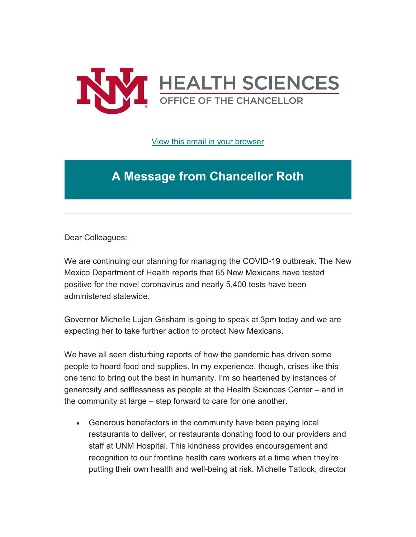

[View this email in your browser](https://mailchi.mp/34726c8fb046/message-from-the-chancellor-coronavirus-4352960?e=b4bbfca2c0)

## **A Message from Chancellor Roth**

Dear Colleagues:

We are continuing our planning for managing the COVID-19 outbreak. The New Mexico Department of Health reports that 65 New Mexicans have tested positive for the novel coronavirus and nearly 5,400 tests have been administered statewide.

Governor Michelle Lujan Grisham is going to speak at 3pm today and we are expecting her to take further action to protect New Mexicans.

We have all seen disturbing reports of how the pandemic has driven some people to hoard food and supplies. In my experience, though, crises like this one tend to bring out the best in humanity. I'm so heartened by instances of generosity and selflessness as people at the Health Sciences Center – and in the community at large – step forward to care for one another.

• Generous benefactors in the community have been paying local restaurants to deliver, or restaurants donating food to our providers and staff at UNM Hospital. This kindness provides encouragement and recognition to our frontline health care workers at a time when they're putting their own health and well-being at risk. Michelle Tatlock, director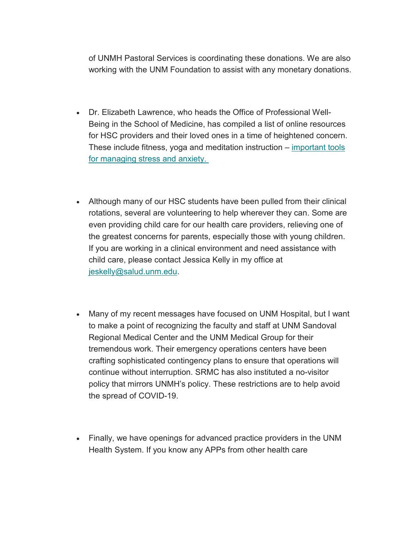of UNMH Pastoral Services is coordinating these donations. We are also working with the UNM Foundation to assist with any monetary donations.

- Dr. Elizabeth Lawrence, who heads the Office of Professional Well-Being in the School of Medicine, has compiled a list of online resources for HSC providers and their loved ones in a time of heightened concern. These include fitness, yoga and meditation instruction – [important tools](https://unm.us19.list-manage.com/track/click?u=59ce53c1a4dedb490bac78648&id=fcb4d3a807&e=b4bbfca2c0)  [for managing stress and anxiety.](https://unm.us19.list-manage.com/track/click?u=59ce53c1a4dedb490bac78648&id=fcb4d3a807&e=b4bbfca2c0)
- Although many of our HSC students have been pulled from their clinical rotations, several are volunteering to help wherever they can. Some are even providing child care for our health care providers, relieving one of the greatest concerns for parents, especially those with young children. If you are working in a clinical environment and need assistance with child care, please contact Jessica Kelly in my office at [jeskelly@salud.unm.edu.](mailto:jeskelly@salud.unm.edu)
- Many of my recent messages have focused on UNM Hospital, but I want to make a point of recognizing the faculty and staff at UNM Sandoval Regional Medical Center and the UNM Medical Group for their tremendous work. Their emergency operations centers have been crafting sophisticated contingency plans to ensure that operations will continue without interruption. SRMC has also instituted a no-visitor policy that mirrors UNMH's policy. These restrictions are to help avoid the spread of COVID-19.
- Finally, we have openings for advanced practice providers in the UNM Health System. If you know any APPs from other health care